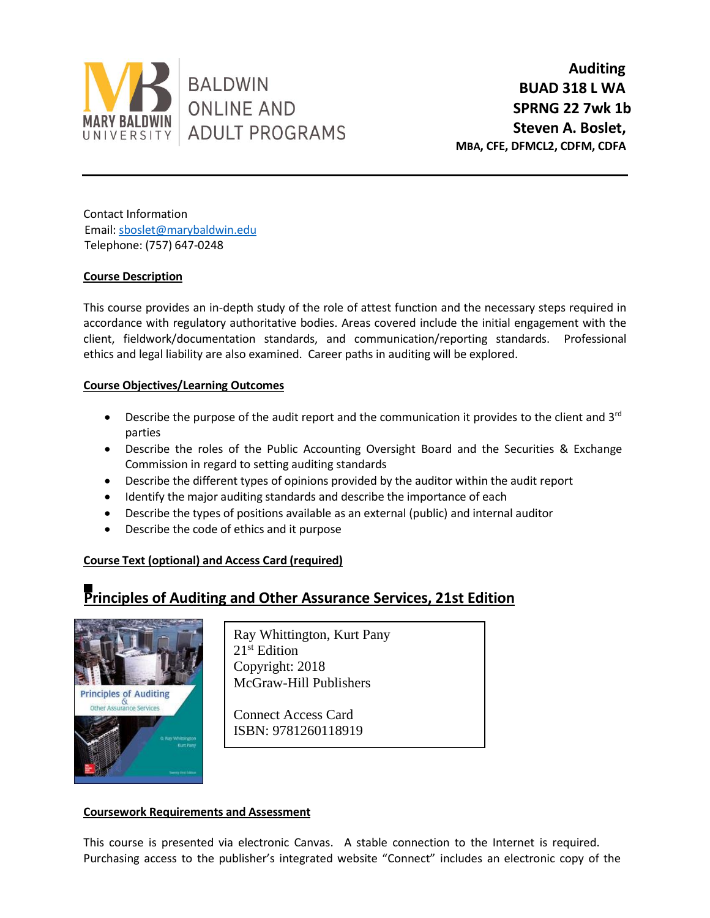

**Auditing BUAD 318 L WA SPRNG 22 7wk 1b Steven A. Boslet, MBA, CFE, DFMCL2, CDFM, CDFA**

Contact Information Email: [sboslet@marybaldwin.edu](../../ACC%20318%20Audit/sboslet@marybaldwin.edu) Telephone: (757) 647-0248

# **Course Description**

This course provides an in-depth study of the role of attest function and the necessary steps required in accordance with regulatory authoritative bodies. Areas covered include the initial engagement with the client, fieldwork/documentation standards, and communication/reporting standards. Professional ethics and legal liability are also examined. Career paths in auditing will be explored.

# **Course Objectives/Learning Outcomes**

- Describe the purpose of the audit report and the communication it provides to the client and 3<sup>rd</sup> parties
- Describe the roles of the Public Accounting Oversight Board and the Securities & Exchange Commission in regard to setting auditing standards
- Describe the different types of opinions provided by the auditor within the audit report
- Identify the major auditing standards and describe the importance of each
- Describe the types of positions available as an external (public) and internal auditor
- Describe the code of ethics and it purpose

# **Course Text (optional) and Access Card (required)**

# **Principles of Auditing and Other Assurance Services, 21st Edition**



Ray Whittington, Kurt Pany 21st Edition Copyright: 2018 McGraw-Hill Publishers

Connect Access Card ISBN: 9781260118919

# **Coursework Requirements and Assessment**

This course is presented via electronic Canvas. A stable connection to the Internet is required. Purchasing access to the publisher's integrated website "Connect" includes an electronic copy of the